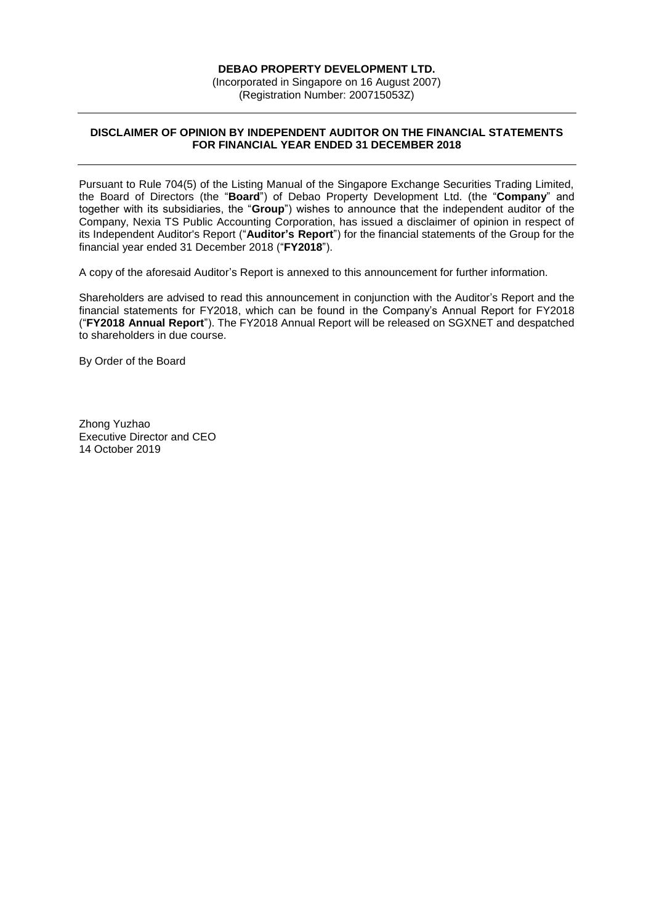## **DEBAO PROPERTY DEVELOPMENT LTD.**

(Incorporated in Singapore on 16 August 2007) (Registration Number: 200715053Z)

## **DISCLAIMER OF OPINION BY INDEPENDENT AUDITOR ON THE FINANCIAL STATEMENTS FOR FINANCIAL YEAR ENDED 31 DECEMBER 2018**

Pursuant to Rule 704(5) of the Listing Manual of the Singapore Exchange Securities Trading Limited, the Board of Directors (the "**Board**") of Debao Property Development Ltd. (the "**Company**" and together with its subsidiaries, the "**Group**") wishes to announce that the independent auditor of the Company, Nexia TS Public Accounting Corporation, has issued a disclaimer of opinion in respect of its Independent Auditor's Report ("**Auditor's Report**") for the financial statements of the Group for the financial year ended 31 December 2018 ("**FY2018**").

A copy of the aforesaid Auditor's Report is annexed to this announcement for further information.

Shareholders are advised to read this announcement in conjunction with the Auditor's Report and the financial statements for FY2018, which can be found in the Company's Annual Report for FY2018 ("**FY2018 Annual Report**"). The FY2018 Annual Report will be released on SGXNET and despatched to shareholders in due course.

By Order of the Board

Zhong Yuzhao Executive Director and CEO 14 October 2019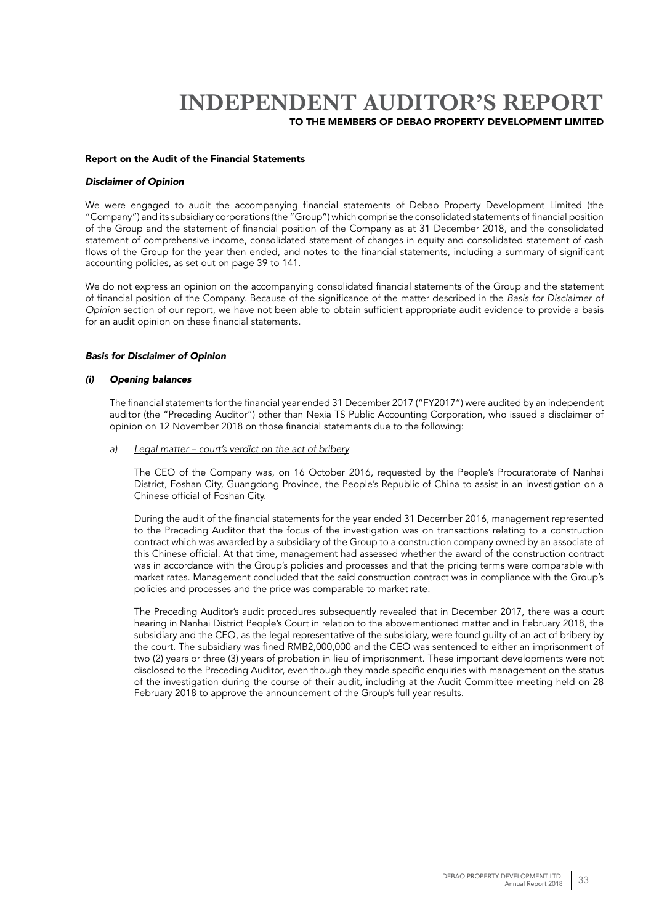#### Report on the Audit of the Financial Statements

#### *Disclaimer of Opinion*

We were engaged to audit the accompanying financial statements of Debao Property Development Limited (the "Company") and its subsidiary corporations (the "Group") which comprise the consolidated statements of financial position of the Group and the statement of financial position of the Company as at 31 December 2018, and the consolidated statement of comprehensive income, consolidated statement of changes in equity and consolidated statement of cash flows of the Group for the year then ended, and notes to the financial statements, including a summary of significant accounting policies, as set out on page 39 to 141.

We do not express an opinion on the accompanying consolidated financial statements of the Group and the statement of financial position of the Company. Because of the significance of the matter described in the *Basis for Disclaimer of Opinion* section of our report, we have not been able to obtain sufficient appropriate audit evidence to provide a basis for an audit opinion on these financial statements.

## *Basis for Disclaimer of Opinion*

#### *(i) Opening balances*

The financial statements for the financial year ended 31 December 2017 ("FY2017") were audited by an independent auditor (the "Preceding Auditor") other than Nexia TS Public Accounting Corporation, who issued a disclaimer of opinion on 12 November 2018 on those financial statements due to the following:

## *a) Legal matter – court's verdict on the act of bribery*

The CEO of the Company was, on 16 October 2016, requested by the People's Procuratorate of Nanhai District, Foshan City, Guangdong Province, the People's Republic of China to assist in an investigation on a Chinese official of Foshan City.

During the audit of the financial statements for the year ended 31 December 2016, management represented to the Preceding Auditor that the focus of the investigation was on transactions relating to a construction contract which was awarded by a subsidiary of the Group to a construction company owned by an associate of this Chinese official. At that time, management had assessed whether the award of the construction contract was in accordance with the Group's policies and processes and that the pricing terms were comparable with market rates. Management concluded that the said construction contract was in compliance with the Group's policies and processes and the price was comparable to market rate.

The Preceding Auditor's audit procedures subsequently revealed that in December 2017, there was a court hearing in Nanhai District People's Court in relation to the abovementioned matter and in February 2018, the subsidiary and the CEO, as the legal representative of the subsidiary, were found guilty of an act of bribery by the court. The subsidiary was fined RMB2,000,000 and the CEO was sentenced to either an imprisonment of two (2) years or three (3) years of probation in lieu of imprisonment. These important developments were not disclosed to the Preceding Auditor, even though they made specific enquiries with management on the status of the investigation during the course of their audit, including at the Audit Committee meeting held on 28 February 2018 to approve the announcement of the Group's full year results.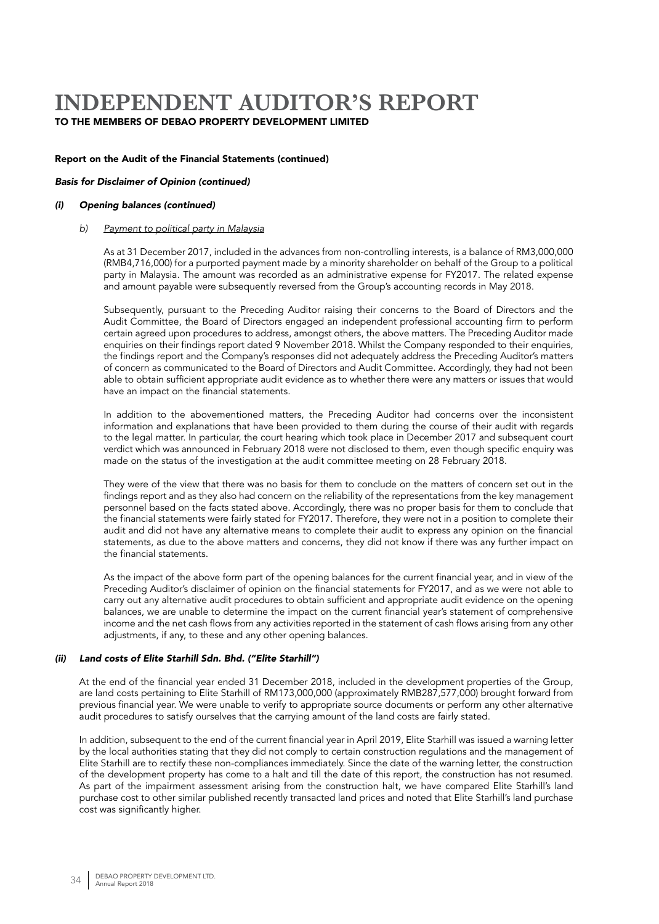## Report on the Audit of the Financial Statements (continued)

### *Basis for Disclaimer of Opinion (continued)*

#### *(i) Opening balances (continued)*

#### *b) Payment to political party in Malaysia*

As at 31 December 2017, included in the advances from non-controlling interests, is a balance of RM3,000,000 (RMB4,716,000) for a purported payment made by a minority shareholder on behalf of the Group to a political party in Malaysia. The amount was recorded as an administrative expense for FY2017. The related expense and amount payable were subsequently reversed from the Group's accounting records in May 2018.

Subsequently, pursuant to the Preceding Auditor raising their concerns to the Board of Directors and the Audit Committee, the Board of Directors engaged an independent professional accounting firm to perform certain agreed upon procedures to address, amongst others, the above matters. The Preceding Auditor made enquiries on their findings report dated 9 November 2018. Whilst the Company responded to their enquiries, the findings report and the Company's responses did not adequately address the Preceding Auditor's matters of concern as communicated to the Board of Directors and Audit Committee. Accordingly, they had not been able to obtain sufficient appropriate audit evidence as to whether there were any matters or issues that would have an impact on the financial statements.

In addition to the abovementioned matters, the Preceding Auditor had concerns over the inconsistent information and explanations that have been provided to them during the course of their audit with regards to the legal matter. In particular, the court hearing which took place in December 2017 and subsequent court verdict which was announced in February 2018 were not disclosed to them, even though specific enquiry was made on the status of the investigation at the audit committee meeting on 28 February 2018.

They were of the view that there was no basis for them to conclude on the matters of concern set out in the findings report and as they also had concern on the reliability of the representations from the key management personnel based on the facts stated above. Accordingly, there was no proper basis for them to conclude that the financial statements were fairly stated for FY2017. Therefore, they were not in a position to complete their audit and did not have any alternative means to complete their audit to express any opinion on the financial statements, as due to the above matters and concerns, they did not know if there was any further impact on the financial statements.

As the impact of the above form part of the opening balances for the current financial year, and in view of the Preceding Auditor's disclaimer of opinion on the financial statements for FY2017, and as we were not able to carry out any alternative audit procedures to obtain sufficient and appropriate audit evidence on the opening balances, we are unable to determine the impact on the current financial year's statement of comprehensive income and the net cash flows from any activities reported in the statement of cash flows arising from any other adjustments, if any, to these and any other opening balances.

### *(ii) Land costs of Elite Starhill Sdn. Bhd. ("Elite Starhill")*

At the end of the financial year ended 31 December 2018, included in the development properties of the Group, are land costs pertaining to Elite Starhill of RM173,000,000 (approximately RMB287,577,000) brought forward from previous financial year. We were unable to verify to appropriate source documents or perform any other alternative audit procedures to satisfy ourselves that the carrying amount of the land costs are fairly stated.

In addition, subsequent to the end of the current financial year in April 2019, Elite Starhill was issued a warning letter by the local authorities stating that they did not comply to certain construction regulations and the management of Elite Starhill are to rectify these non-compliances immediately. Since the date of the warning letter, the construction of the development property has come to a halt and till the date of this report, the construction has not resumed. As part of the impairment assessment arising from the construction halt, we have compared Elite Starhill's land purchase cost to other similar published recently transacted land prices and noted that Elite Starhill's land purchase cost was significantly higher.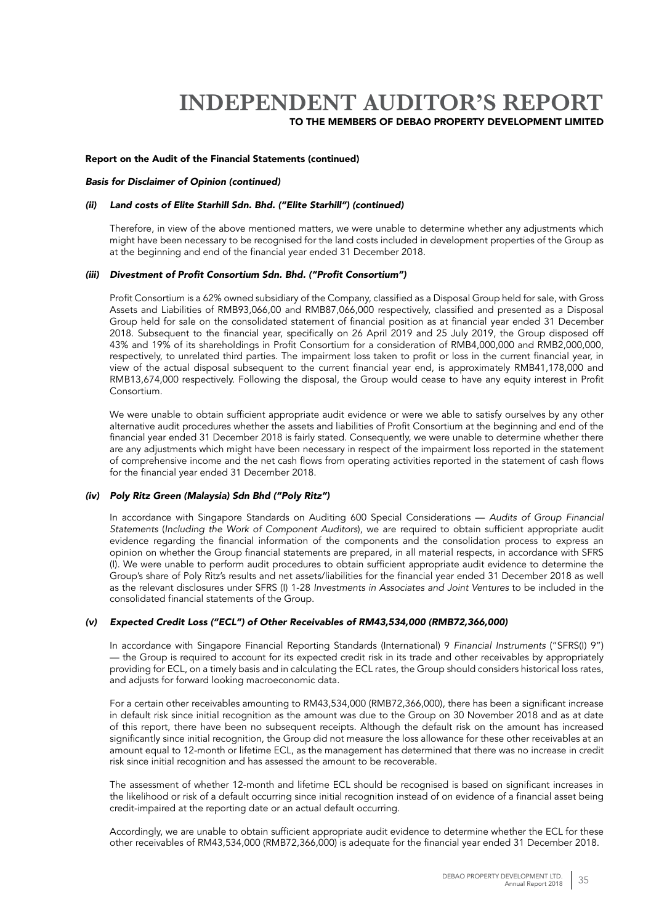### Report on the Audit of the Financial Statements (continued)

### *Basis for Disclaimer of Opinion (continued)*

#### *(ii) Land costs of Elite Starhill Sdn. Bhd. ("Elite Starhill") (continued)*

Therefore, in view of the above mentioned matters, we were unable to determine whether any adjustments which might have been necessary to be recognised for the land costs included in development properties of the Group as at the beginning and end of the financial year ended 31 December 2018.

#### (iii) Divestment of Profit Consortium Sdn. Bhd. ("Profit Consortium")

Profit Consortium is a 62% owned subsidiary of the Company, classified as a Disposal Group held for sale, with Gross Assets and Liabilities of RMB93,066,00 and RMB87,066,000 respectively, classified and presented as a Disposal Group held for sale on the consolidated statement of financial position as at financial year ended 31 December 2018. Subsequent to the financial year, specifically on 26 April 2019 and 25 July 2019, the Group disposed off 43% and 19% of its shareholdings in Profit Consortium for a consideration of RMB4,000,000 and RMB2,000,000, respectively, to unrelated third parties. The impairment loss taken to profit or loss in the current financial year, in view of the actual disposal subsequent to the current financial year end, is approximately RMB41,178,000 and RMB13,674,000 respectively. Following the disposal, the Group would cease to have any equity interest in Profit Consortium.

We were unable to obtain sufficient appropriate audit evidence or were we able to satisfy ourselves by any other alternative audit procedures whether the assets and liabilities of Profit Consortium at the beginning and end of the financial year ended 31 December 2018 is fairly stated. Consequently, we were unable to determine whether there are any adjustments which might have been necessary in respect of the impairment loss reported in the statement of comprehensive income and the net cash flows from operating activities reported in the statement of cash flows for the financial year ended 31 December 2018.

#### *(iv) Poly Ritz Green (Malaysia) Sdn Bhd ("Poly Ritz")*

In accordance with Singapore Standards on Auditing 600 Special Considerations — *Audits of Group Financial Statements* (*Including the Work of Component Auditors*), we are required to obtain sufficient appropriate audit evidence regarding the financial information of the components and the consolidation process to express an opinion on whether the Group financial statements are prepared, in all material respects, in accordance with SFRS (I). We were unable to perform audit procedures to obtain sufficient appropriate audit evidence to determine the Group's share of Poly Ritz's results and net assets/liabilities for the financial year ended 31 December 2018 as well as the relevant disclosures under SFRS (I) 1-28 *Investments in Associates and Joint Ventures* to be included in the consolidated financial statements of the Group.

## (v) Expected Credit Loss ("ECL") of Other Receivables of RM43,534,000 (RMB72,366,000)

In accordance with Singapore Financial Reporting Standards (International) 9 *Financial Instruments* ("SFRS(I) 9") — the Group is required to account for its expected credit risk in its trade and other receivables by appropriately providing for ECL, on a timely basis and in calculating the ECL rates, the Group should considers historical loss rates, and adjusts for forward looking macroeconomic data.

For a certain other receivables amounting to RM43,534,000 (RMB72,366,000), there has been a significant increase in default risk since initial recognition as the amount was due to the Group on 30 November 2018 and as at date of this report, there have been no subsequent receipts. Although the default risk on the amount has increased significantly since initial recognition, the Group did not measure the loss allowance for these other receivables at an amount equal to 12-month or lifetime ECL, as the management has determined that there was no increase in credit risk since initial recognition and has assessed the amount to be recoverable.

The assessment of whether 12-month and lifetime ECL should be recognised is based on significant increases in the likelihood or risk of a default occurring since initial recognition instead of on evidence of a financial asset being credit-impaired at the reporting date or an actual default occurring.

Accordingly, we are unable to obtain sufficient appropriate audit evidence to determine whether the ECL for these other receivables of RM43,534,000 (RMB72,366,000) is adequate for the financial year ended 31 December 2018.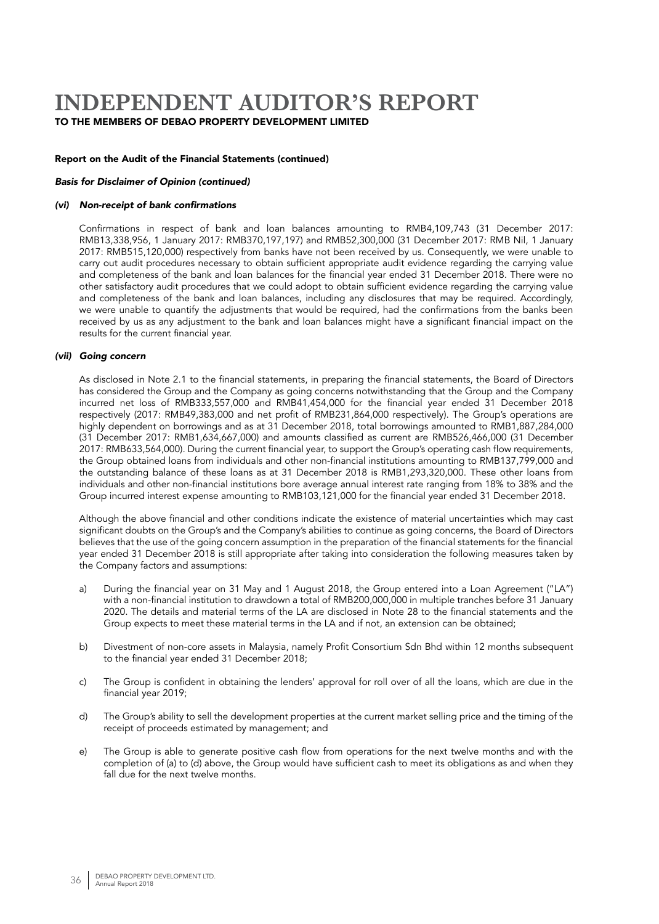## Report on the Audit of the Financial Statements (continued)

## *Basis for Disclaimer of Opinion (continued)*

#### (vi) Non-receipt of bank confirmations

Confirmations in respect of bank and loan balances amounting to RMB4,109,743 (31 December 2017: RMB13,338,956, 1 January 2017: RMB370,197,197) and RMB52,300,000 (31 December 2017: RMB Nil, 1 January 2017: RMB515,120,000) respectively from banks have not been received by us. Consequently, we were unable to carry out audit procedures necessary to obtain sufficient appropriate audit evidence regarding the carrying value and completeness of the bank and loan balances for the financial year ended 31 December 2018. There were no other satisfactory audit procedures that we could adopt to obtain sufficient evidence regarding the carrying value and completeness of the bank and loan balances, including any disclosures that may be required. Accordingly, we were unable to quantify the adjustments that would be required, had the confirmations from the banks been received by us as any adjustment to the bank and loan balances might have a significant financial impact on the results for the current financial year.

#### *(vii) Going concern*

As disclosed in Note 2.1 to the financial statements, in preparing the financial statements, the Board of Directors has considered the Group and the Company as going concerns notwithstanding that the Group and the Company incurred net loss of RMB333,557,000 and RMB41,454,000 for the financial year ended 31 December 2018 respectively (2017: RMB49,383,000 and net profit of RMB231,864,000 respectively). The Group's operations are highly dependent on borrowings and as at 31 December 2018, total borrowings amounted to RMB1,887,284,000 (31 December 2017: RMB1,634,667,000) and amounts classified as current are RMB526,466,000 (31 December 2017: RMB633,564,000). During the current financial year, to support the Group's operating cash flow requirements, the Group obtained loans from individuals and other non-financial institutions amounting to RMB137,799,000 and the outstanding balance of these loans as at 31 December 2018 is RMB1,293,320,000. These other loans from individuals and other non-financial institutions bore average annual interest rate ranging from 18% to 38% and the Group incurred interest expense amounting to RMB103,121,000 for the financial year ended 31 December 2018.

Although the above financial and other conditions indicate the existence of material uncertainties which may cast significant doubts on the Group's and the Company's abilities to continue as going concerns, the Board of Directors believes that the use of the going concern assumption in the preparation of the financial statements for the financial year ended 31 December 2018 is still appropriate after taking into consideration the following measures taken by the Company factors and assumptions:

- a) During the financial year on 31 May and 1 August 2018, the Group entered into a Loan Agreement ("LA") with a non-financial institution to drawdown a total of RMB200,000,000 in multiple tranches before 31 January 2020. The details and material terms of the LA are disclosed in Note 28 to the financial statements and the Group expects to meet these material terms in the LA and if not, an extension can be obtained;
- b) Divestment of non-core assets in Malaysia, namely Profit Consortium Sdn Bhd within 12 months subsequent to the financial year ended 31 December 2018;
- c) The Group is confident in obtaining the lenders' approval for roll over of all the loans, which are due in the financial year 2019;
- d) The Group's ability to sell the development properties at the current market selling price and the timing of the receipt of proceeds estimated by management; and
- e) The Group is able to generate positive cash flow from operations for the next twelve months and with the completion of (a) to (d) above, the Group would have sufficient cash to meet its obligations as and when they fall due for the next twelve months.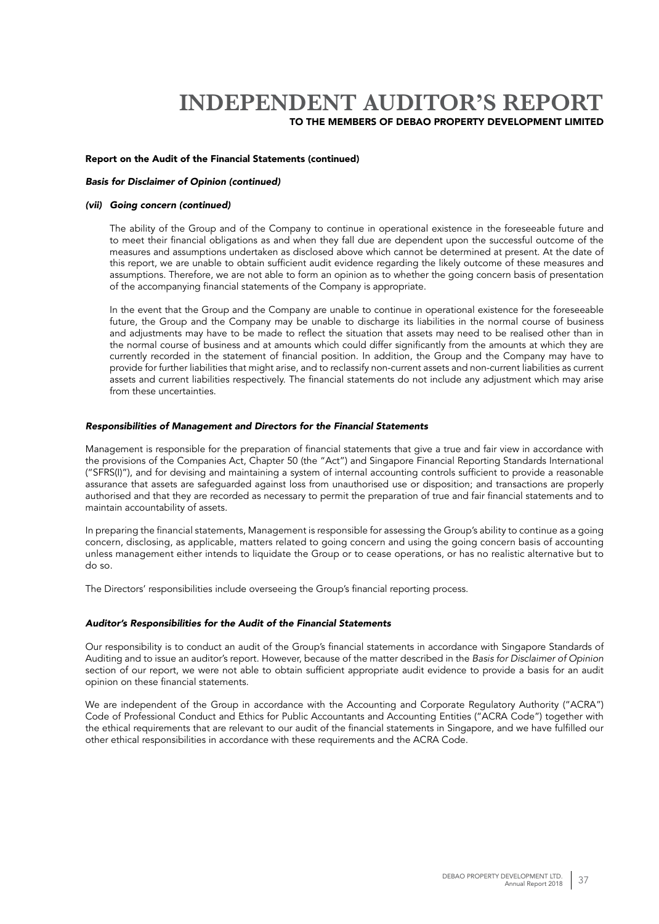### Report on the Audit of the Financial Statements (continued)

#### *Basis for Disclaimer of Opinion (continued)*

#### *(vii) Going concern (continued)*

The ability of the Group and of the Company to continue in operational existence in the foreseeable future and to meet their financial obligations as and when they fall due are dependent upon the successful outcome of the measures and assumptions undertaken as disclosed above which cannot be determined at present. At the date of this report, we are unable to obtain sufficient audit evidence regarding the likely outcome of these measures and assumptions. Therefore, we are not able to form an opinion as to whether the going concern basis of presentation of the accompanying financial statements of the Company is appropriate.

In the event that the Group and the Company are unable to continue in operational existence for the foreseeable future, the Group and the Company may be unable to discharge its liabilities in the normal course of business and adjustments may have to be made to reflect the situation that assets may need to be realised other than in the normal course of business and at amounts which could differ significantly from the amounts at which they are currently recorded in the statement of financial position. In addition, the Group and the Company may have to provide for further liabilities that might arise, and to reclassify non-current assets and non-current liabilities as current assets and current liabilities respectively. The financial statements do not include any adjustment which may arise from these uncertainties.

#### *Responsibilities of Management and Directors for the Financial Statements*

Management is responsible for the preparation of financial statements that give a true and fair view in accordance with the provisions of the Companies Act, Chapter 50 (the "Act") and Singapore Financial Reporting Standards International ("SFRS(I)"), and for devising and maintaining a system of internal accounting controls sufficient to provide a reasonable assurance that assets are safeguarded against loss from unauthorised use or disposition; and transactions are properly authorised and that they are recorded as necessary to permit the preparation of true and fair financial statements and to maintain accountability of assets.

In preparing the financial statements, Management is responsible for assessing the Group's ability to continue as a going concern, disclosing, as applicable, matters related to going concern and using the going concern basis of accounting unless management either intends to liquidate the Group or to cease operations, or has no realistic alternative but to do so.

The Directors' responsibilities include overseeing the Group's financial reporting process.

### *Auditor's Responsibilities for the Audit of the Financial Statements*

Our responsibility is to conduct an audit of the Group's financial statements in accordance with Singapore Standards of Auditing and to issue an auditor's report. However, because of the matter described in the *Basis for Disclaimer of Opinion* section of our report, we were not able to obtain sufficient appropriate audit evidence to provide a basis for an audit opinion on these financial statements.

We are independent of the Group in accordance with the Accounting and Corporate Regulatory Authority ("ACRA") Code of Professional Conduct and Ethics for Public Accountants and Accounting Entities ("ACRA Code") together with the ethical requirements that are relevant to our audit of the financial statements in Singapore, and we have fulfilled our other ethical responsibilities in accordance with these requirements and the ACRA Code.